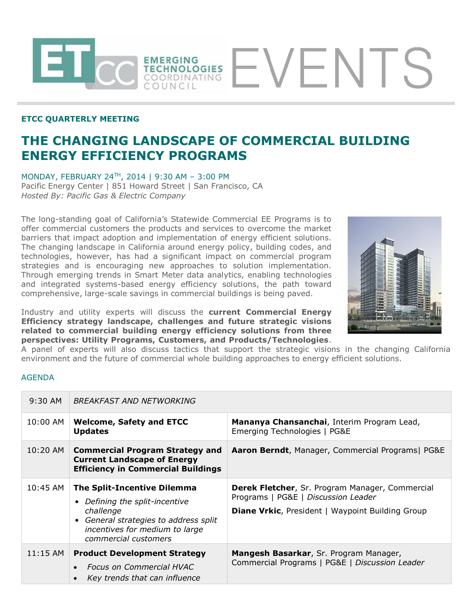## **ETCC QUARTERLY MEETING**

## **THE CHANGING LANDSCAPE OF COMMERCIAL BUILDING ENERGY EFFICIENCY PROGRAMS**

MONDAY, FEBRUARY 24TH, 2014 | 9:30 AM – 3:00 PM Pacific Energy Center | 851 Howard Street | San Francisco, CA *Hosted By: Pacific Gas & Electric Company*

The long-standing goal of California's Statewide Commercial EE Programs is to offer commercial customers the products and services to overcome the market barriers that impact adoption and implementation of energy efficient solutions. The changing landscape in California around energy policy, building codes, and technologies, however, has had a significant impact on commercial program strategies and is encouraging new approaches to solution implementation. Through emerging trends in Smart Meter data analytics, enabling technologies and integrated systems-based energy efficiency solutions, the path toward comprehensive, large-scale savings in commercial buildings is being paved.

EMERGING<br>TECHNOLOGIES<br>COORDINATING

COUNCIL

Industry and utility experts will discuss the **current Commercial Energy Efficiency strategy landscape, challenges and future strategic visions related to commercial building energy efficiency solutions from three perspectives: Utility Programs, Customers, and Products/Technologies**.



EVENTS

A panel of experts will also discuss tactics that support the strategic visions in the changing California environment and the future of commercial whole building approaches to energy efficient solutions.

## AGENDA

| $9:30$ AM  | <b>BREAKFAST AND NETWORKING</b>                                                                                                                                                               |                                                                                                                                                   |
|------------|-----------------------------------------------------------------------------------------------------------------------------------------------------------------------------------------------|---------------------------------------------------------------------------------------------------------------------------------------------------|
| 10:00 AM   | <b>Welcome, Safety and ETCC</b><br><b>Updates</b>                                                                                                                                             | Mananya Chansanchai, Interim Program Lead,<br>Emerging Technologies   PG&E                                                                        |
| $10:20$ AM | <b>Commercial Program Strategy and</b><br><b>Current Landscape of Energy</b><br><b>Efficiency in Commercial Buildings</b>                                                                     | Aaron Berndt, Manager, Commercial Programs  PG&E                                                                                                  |
| $10:45$ AM | <b>The Split-Incentive Dilemma</b><br>Defining the split-incentive<br>challenge<br>General strategies to address split<br>$\bullet$<br>incentives for medium to large<br>commercial customers | Derek Fletcher, Sr. Program Manager, Commercial<br>Programs   PG&E   Discussion Leader<br><b>Diane Vrkic, President   Waypoint Building Group</b> |
| $11:15$ AM | <b>Product Development Strategy</b><br><b>Focus on Commercial HVAC</b><br>$\bullet$<br>Key trends that can influence<br>$\bullet$                                                             | <b>Mangesh Basarkar, Sr. Program Manager,</b><br>Commercial Programs   PG&E   Discussion Leader                                                   |